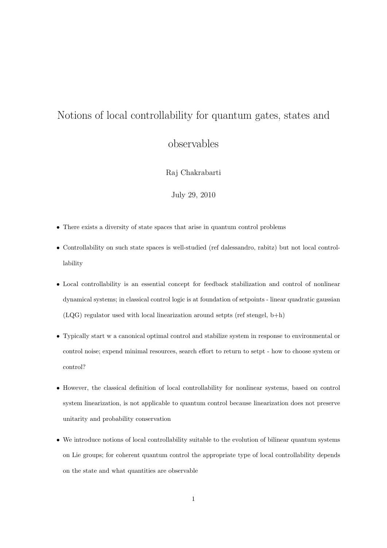# Notions of local controllability for quantum gates, states and observables

Raj Chakrabarti

July 29, 2010

- *•* There exists a diversity of state spaces that arise in quantum control problems
- Controllability on such state spaces is well-studied (ref dalessandro, rabitz) but not local controllability
- Local controllability is an essential concept for feedback stabilization and control of nonlinear dynamical systems; in classical control logic is at foundation of setpoints - linear quadratic gaussian  $(LQG)$  regulator used with local linearization around setpts (ref stengel, b+h)
- Typically start w a canonical optimal control and stabilize system in response to environmental or control noise; expend minimal resources, search effort to return to setpt - how to choose system or control?
- *•* However, the classical definition of local controllability for nonlinear systems, based on control system linearization, is not applicable to quantum control because linearization does not preserve unitarity and probability conservation
- We introduce notions of local controllability suitable to the evolution of bilinear quantum systems on Lie groups; for coherent quantum control the appropriate type of local controllability depends on the state and what quantities are observable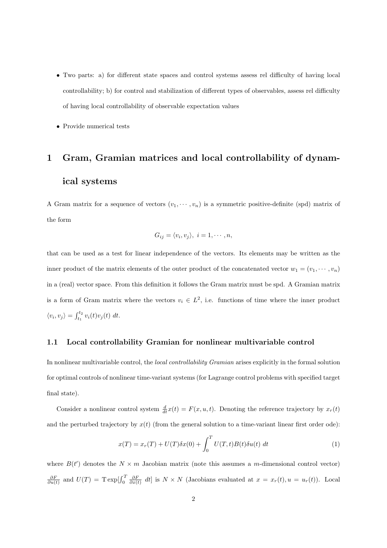- *•* Two parts: a) for different state spaces and control systems assess rel difficulty of having local controllability; b) for control and stabilization of different types of observables, assess rel difficulty of having local controllability of observable expectation values
- *•* Provide numerical tests

## **1 Gram, Gramian matrices and local controllability of dynamical systems**

A Gram matrix for a sequence of vectors  $(v_1, \dots, v_n)$  is a symmetric positive-definite (spd) matrix of the form

$$
G_{ij} = \langle v_i, v_j \rangle, \ i = 1, \cdots, n,
$$

that can be used as a test for linear independence of the vectors. Its elements may be written as the inner product of the matrix elements of the outer product of the concatenated vector  $w_1 = (v_1, \dots, v_n)$ in a (real) vector space. From this definition it follows the Gram matrix must be spd. A Gramian matrix is a form of Gram matrix where the vectors  $v_i \in L^2$ , i.e. functions of time where the inner product  $\langle v_i, v_j \rangle = \int_{t_1}^{t_2} v_i(t) v_j(t) \, dt.$ 

#### **1.1 Local controllability Gramian for nonlinear multivariable control**

In nonlinear multivariable control, the *local controllability Gramian* arises explicitly in the formal solution for optimal controls of nonlinear time-variant systems (for Lagrange control problems with specified target final state).

Consider a nonlinear control system  $\frac{d}{dt}x(t) = F(x, u, t)$ . Denoting the reference trajectory by  $x_r(t)$ and the perturbed trajectory by  $x(t)$  (from the general solution to a time-variant linear first order ode):

$$
x(T) = x_r(T) + U(T)\delta x(0) + \int_0^T U(T,t)B(t)\delta u(t) dt
$$
\n(1)

where  $B(t')$  denotes the  $N \times m$  Jacobian matrix (note this assumes a *m*-dimensional control vector)  $\frac{\partial F}{\partial u(t)}$  and  $U(T) = \text{T} \exp[\int_0^T \frac{\partial F}{\partial x(t)} dt]$  is  $N \times N$  (Jacobians evaluated at  $x = x_r(t), u = u_r(t)$ ). Local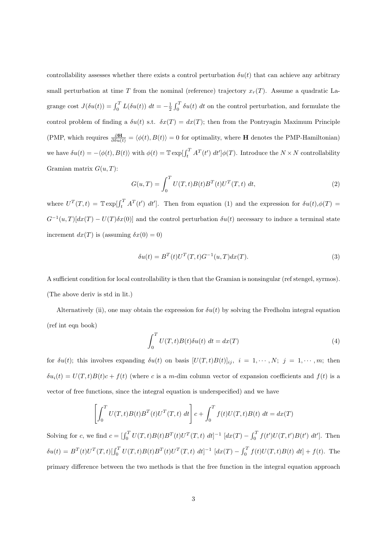controllability assesses whether there exists a control perturbation  $\delta u(t)$  that can achieve any arbitrary small perturbation at time *T* from the nominal (reference) trajectory  $x_r(T)$ . Assume a quadratic Lagrange cost  $J(\delta u(t)) = \int_0^T L(\delta u(t)) dt = -\frac{1}{2} \int_0^T \delta u(t) dt$  on the control perturbation, and formulate the control problem of finding a  $\delta u(t)$  s.t.  $\delta x(T) = dx(T)$ ; then from the Pontryagin Maximum Principle (PMP, which requires  $\frac{\partial \mathbf{H}}{\partial \delta u(t)} = \langle \phi(t), B(t) \rangle = 0$  for optimality, where **H** denotes the PMP-Hamiltonian) we have  $\delta u(t) = -\langle \phi(t), B(t) \rangle$  with  $\phi(t) = \mathbb{T} \exp[\int_t^T A^T(t') dt'] \phi(T)$ . Introduce the  $N \times N$  controllability Gramian matrix *G*(*u, T*):

$$
G(u,T) = \int_0^T U(T,t)B(t)B^T(t)U^T(T,t) dt,
$$
\n(2)

where  $U^T(T,t) = \mathbb{T} \exp[\int_t^T A^T(t') dt']$ . Then from equation (1) and the expression for  $\delta u(t), \phi(T) =$  $G^{-1}(u,T)[dx(T) - U(T)\delta x(0)]$  and the control perturbation  $\delta u(t)$  necessary to induce a terminal state increment  $dx(T)$  is (assuming  $\delta x(0) = 0$ )

$$
\delta u(t) = B^T(t)U^T(T, t)G^{-1}(u, T)dx(T).
$$
\n(3)

A sufficient condition for local controllability is then that the Gramian is nonsingular (ref stengel, syrmos). (The above deriv is std in lit.)

Alternatively (ii), one may obtain the expression for  $\delta u(t)$  by solving the Fredholm integral equation (ref int eqn book)

$$
\int_0^T U(T,t)B(t)\delta u(t) dt = dx(T)
$$
\n(4)

for  $\delta u(t)$ ; this involves expanding  $\delta u(t)$  on basis  $[U(T,t)B(t)]_{ij}$ ,  $i = 1, \dots, N; j = 1, \dots, m;$  then  $\delta u_i(t) = U(T, t)B(t)c + f(t)$  (where *c* is a *m*-dim column vector of expansion coefficients and  $f(t)$  is a vector of free functions, since the integral equation is underspecified) and we have

$$
\left[\int_0^T U(T,t)B(t)B^T(t)U^T(T,t) dt\right]c + \int_0^T f(t)U(T,t)B(t) dt = dx(T)
$$

Solving for c, we find  $c = \left[\int_0^T U(T,t)B(t)B^T(t)U^T(T,t) dt\right]^{-1} [dx(T) - \int_0^T f(t')U(T,t')B(t') dt']$ . Then  $\delta u(t) = B^T(t)U^T(T,t)[\int_0^T U(T,t)B(t)B^T(t)U^T(T,t) dt]^{-1} [dx(T) - \int_0^T f(t)U(T,t)B(t) dt] + f(t).$  The primary difference between the two methods is that the free function in the integral equation approach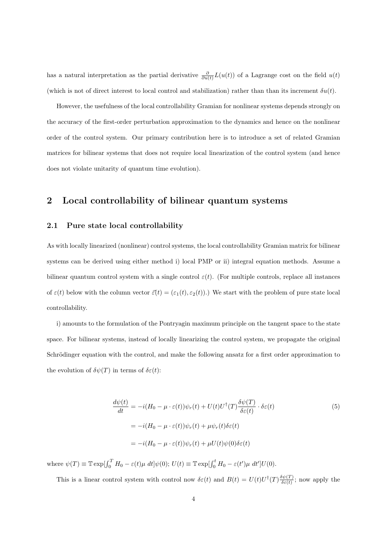has a natural interpretation as the partial derivative  $\frac{\partial}{\partial u(t)} L(u(t))$  of a Lagrange cost on the field  $u(t)$ (which is not of direct interest to local control and stabilization) rather than than its increment *δu*(*t*).

However, the usefulness of the local controllability Gramian for nonlinear systems depends strongly on the accuracy of the first-order perturbation approximation to the dynamics and hence on the nonlinear order of the control system. Our primary contribution here is to introduce a set of related Gramian matrices for bilinear systems that does not require local linearization of the control system (and hence does not violate unitarity of quantum time evolution).

### **2 Local controllability of bilinear quantum systems**

#### **2.1 Pure state local controllability**

As with locally linearized (nonlinear) control systems, the local controllability Gramian matrix for bilinear systems can be derived using either method i) local PMP or ii) integral equation methods. Assume a bilinear quantum control system with a single control  $\varepsilon(t)$ . (For multiple controls, replace all instances of  $\varepsilon(t)$  below with the column vector  $\vec{\varepsilon}(t) = (\varepsilon_1(t), \varepsilon_2(t))$ .) We start with the problem of pure state local controllability.

i) amounts to the formulation of the Pontryagin maximum principle on the tangent space to the state space. For bilinear systems, instead of locally linearizing the control system, we propagate the original Schrödinger equation with the control, and make the following ansatz for a first order approximation to the evolution of  $\delta \psi(T)$  in terms of  $\delta \varepsilon(t)$ :

$$
\frac{d\psi(t)}{dt} = -i(H_0 - \mu \cdot \varepsilon(t))\psi_r(t) + U(t)U^{\dagger}(T)\frac{\delta\psi(T)}{\delta\varepsilon(t)} \cdot \delta\varepsilon(t)
$$
  
\n
$$
= -i(H_0 - \mu \cdot \varepsilon(t))\psi_r(t) + \mu\psi_r(t)\delta\varepsilon(t)
$$
  
\n
$$
= -i(H_0 - \mu \cdot \varepsilon(t))\psi_r(t) + \mu U(t)\psi(0)\delta\varepsilon(t)
$$
\n(5)

where  $\psi(T) \equiv \mathbb{T} \exp[\int_0^T H_0 - \varepsilon(t)\mu \ dt]\psi(0);$   $U(t) \equiv \mathbb{T} \exp[\int_0^t H_0 - \varepsilon(t')\mu \ dt']U(0).$ 

This is a linear control system with control now  $\delta \varepsilon(t)$  and  $B(t) = U(t)U^{\dagger}(T) \frac{\delta \psi(T)}{\delta \varepsilon(t)}$  $\frac{\partial \psi(T)}{\partial \varepsilon(t)}$ ; now apply the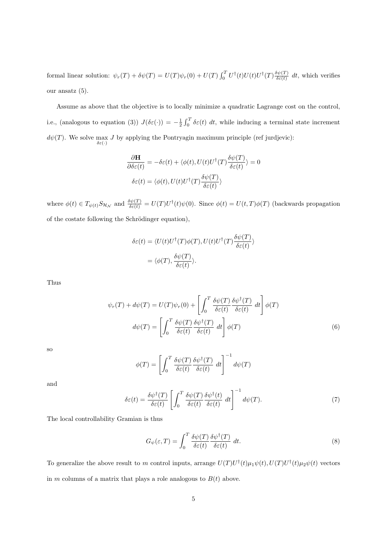formal linear solution:  $\psi_r(T) + \delta \psi(T) = U(T) \psi_r(0) + U(T) \int_0^T U^{\dagger}(t) U(t) U^{\dagger}(T) \frac{\delta \psi(T)}{\delta \varepsilon(t)}$  $\frac{\partial \psi(I)}{\partial \varepsilon(t)} dt$ , which verifies our ansatz (5).

Assume as above that the objective is to locally minimize a quadratic Lagrange cost on the control, i.e., (analogous to equation (3))  $J(\delta \varepsilon(\cdot)) = -\frac{1}{2} \int_0^T \delta \varepsilon(t) dt$ , while inducing a terminal state increment  $d\psi(T)$ . We solve max *δε*(*·*) *J* by applying the Pontryagin maximum principle (ref jurdjevic):

$$
\frac{\partial \mathbf{H}}{\partial \delta \varepsilon(t)} = -\delta \varepsilon(t) + \langle \phi(t), U(t)U^{\dagger}(T) \frac{\delta \psi(T)}{\delta \varepsilon(t)} \rangle = 0
$$

$$
\delta \varepsilon(t) = \langle \phi(t), U(t)U^{\dagger}(T) \frac{\delta \psi(T)}{\delta \varepsilon(t)} \rangle
$$

where  $\phi(t) \in T_{\psi(t)} S_{\mathcal{H}_{\mathcal{N}}}$  and  $\frac{\delta \psi(T)}{\delta \varepsilon(t)} = U(T) U^{\dagger}(t) \psi(0)$ . Since  $\phi(t) = U(t, T) \phi(T)$  (backwards propagation of the costate following the Schrödinger equation),

$$
\delta \varepsilon(t) = \langle U(t)U^{\dagger}(T)\phi(T), U(t)U^{\dagger}(T)\frac{\delta \psi(T)}{\delta \varepsilon(t)} \rangle
$$

$$
= \langle \phi(T), \frac{\delta \psi(T)}{\delta \varepsilon(t)} \rangle.
$$

Thus

$$
\psi_r(T) + d\psi(T) = U(T)\psi_r(0) + \left[\int_0^T \frac{\delta\psi(T)}{\delta\varepsilon(t)} \frac{\delta\psi^{\dagger}(T)}{\delta\varepsilon(t)} dt\right] \phi(T)
$$

$$
d\psi(T) = \left[\int_0^T \frac{\delta\psi(T)}{\delta\varepsilon(t)} \frac{\delta\psi^{\dagger}(T)}{\delta\varepsilon(t)} dt\right] \phi(T) \tag{6}
$$

so

$$
\phi(T) = \left[ \int_0^T \frac{\delta \psi(T)}{\delta \varepsilon(t)} \frac{\delta \psi^{\dagger}(T)}{\delta \varepsilon(t)} dt \right]^{-1} d\psi(T)
$$

and

$$
\delta \varepsilon(t) = \frac{\delta \psi^{\dagger}(T)}{\delta \varepsilon(t)} \left[ \int_0^T \frac{\delta \psi(T)}{\delta \varepsilon(t)} \frac{\delta \psi^{\dagger}(t)}{\delta \varepsilon(t)} dt \right]^{-1} d\psi(T). \tag{7}
$$

The local controllability Gramian is thus

$$
G_{\psi}(\varepsilon, T) = \int_0^T \frac{\delta \psi(T)}{\delta \varepsilon(t)} \frac{\delta \psi^{\dagger}(T)}{\delta \varepsilon(t)} dt.
$$
 (8)

To generalize the above result to *m* control inputs, arrange  $U(T)U^{\dagger}(t)\mu_1\psi(t), U(T)U^{\dagger}(t)\mu_2\psi(t)$  vectors in *m* columns of a matrix that plays a role analogous to  $B(t)$  above.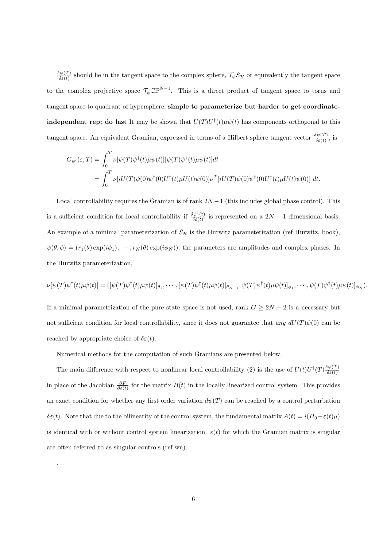*δψ*(*T*)  $\frac{\partial \psi(I)}{\partial \varepsilon(t)}$  should lie in the tangent space to the complex sphere,  $\mathcal{T}_{\psi} S_{\mathcal{H}}$  or equivalently the tangent space to the complex projective space  $\mathcal{T}_{\psi} \mathbb{CP}^{N-1}$ . This is a direct product of tangent space to torus and tangent space to quadrant of hypersphere; **simple to parameterize but harder to get coordinateindependent rep; do last** It may be shown that  $U(T)U^{\dagger}(t)\mu\psi(t)$  has components orthogonal to this tangent space. An equivalent Gramian, expressed in terms of a Hilbert sphere tangent vector  $\frac{\delta\psi(T)}{\delta\varepsilon(t)}$ , is

$$
G_{\psi'}(\varepsilon,T) = \int_0^T \nu[\psi(T)\psi^{\dagger}(t)\mu\psi(t)][\psi(T)\psi^{\dagger}(t)\mu\psi(t)]dt
$$
  
= 
$$
\int_0^T \nu[iU(T)\psi(0)\psi^{\dagger}(0)U^{\dagger}(t)\mu U(t)\psi(0)]\nu^T[iU(T)\psi(0)\psi^{\dagger}(0)U^{\dagger}(t)\mu U(t)\psi(0)] dt.
$$

Local controllability requires the Gramian is of rank 2*N −*1 (this includes global phase control). This is a sufficient condition for local controllability if  $\frac{\delta \psi^{\dagger}(t)}{\delta \epsilon(t)}$  $\frac{\partial \psi''(t)}{\partial \varepsilon(t)}$  is represented on a 2*N −* 1 dimensional basis. An example of a minimal parameterization of  $S_H$  is the Hurwitz parameterization (ref Hurwitz, book),  $\psi(\theta, \phi) = (r_1(\theta) \exp(i\phi_1), \cdots, r_N(\theta) \exp(i\phi_N))$ ; the parameters are amplitudes and complex phases. In the Hurwitz parameterization,

$$
\nu[\psi(T)\psi^{\dagger}(t)\mu\psi(t)] = ([\psi(T)\psi^{\dagger}(t)\mu\psi(t)]_{\theta_1}, \cdots, [\psi(T)\psi^{\dagger}(t)\mu\psi(t)]_{\theta_{N-1}}, \psi(T)\psi^{\dagger}(t)\mu\psi(t)]_{\phi_1}, \cdots, \psi(T)\psi^{\dagger}(t)\mu\psi(t)]_{\phi_N}).
$$

If a minimal parametrization of the pure state space is not used, rank  $G \geq 2N - 2$  is a necessary but not sufficient condition for local controllability, since it does not guarantee that *any*  $dU(T)\psi(0)$  can be reached by appropriate choice of  $\delta \varepsilon(t)$ .

Numerical methods for the computation of such Gramians are presented below.

.

The main difference with respect to nonlinear local controllability (2) is the use of  $U(t)U^{\dagger}(T)\frac{\delta\psi(T)}{\delta\epsilon(t)}$ *δε*(*t*) in place of the Jacobian  $\frac{\partial F}{\partial \varepsilon(t)}$  for the matrix  $B(t)$  in the locally linearized control system. This provides an exact condition for whether any first order variation  $d\psi(T)$  can be reached by a control perturbation *δε*(*t*). Note that due to the bilinearity of the control system, the fundamental matrix  $A(t) = i(H_0 - \varepsilon(t) \mu)$ is identical with or without control system linearization.  $\varepsilon(t)$  for which the Gramian matrix is singular are often referred to as singular controls (ref wu).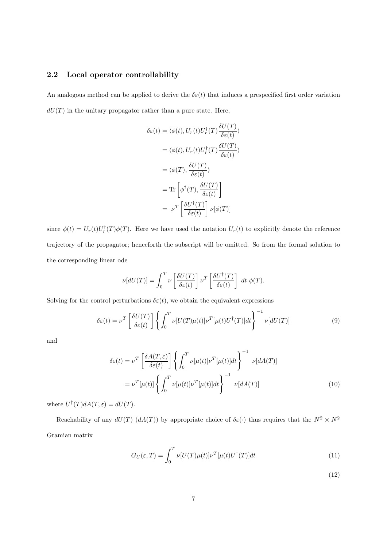#### **2.2 Local operator controllability**

An analogous method can be applied to derive the  $\delta\varepsilon(t)$  that induces a prespecified first order variation  $dU(T)$  in the unitary propagator rather than a pure state. Here,

$$
\delta \varepsilon(t) = \langle \phi(t), U_r(t) U_r^{\dagger}(T) \frac{\delta U(T)}{\delta \varepsilon(t)} \rangle
$$

$$
= \langle \phi(t), U_r(t) U_r^{\dagger}(T) \frac{\delta U(T)}{\delta \varepsilon(t)} \rangle
$$

$$
= \langle \phi(T), \frac{\delta U(T)}{\delta \varepsilon(t)} \rangle
$$

$$
= \text{Tr} \left[ \phi^{\dagger}(T), \frac{\delta U(T)}{\delta \varepsilon(t)} \right]
$$

$$
= \nu^T \left[ \frac{\delta U^{\dagger}(T)}{\delta \varepsilon(t)} \right] \nu[\phi(T)]
$$

since  $\phi(t) = U_r(t)U_r^{\dagger}(T)\phi(T)$ . Here we have used the notation  $U_r(t)$  to explicitly denote the reference trajectory of the propagator; henceforth the subscript will be omitted. So from the formal solution to the corresponding linear ode

$$
\nu[dU(T)] = \int_0^T \nu\left[\frac{\delta U(T)}{\delta \varepsilon(t)}\right] \nu^T\left[\frac{\delta U^{\dagger}(T)}{\delta \varepsilon(t)}\right] dt \phi(T).
$$

Solving for the control perturbations  $\delta \varepsilon(t)$ , we obtain the equivalent expressions

$$
\delta \varepsilon(t) = \nu^T \left[ \frac{\delta U(T)}{\delta \varepsilon(t)} \right] \left\{ \int_0^T \nu[U(T)\mu(t)] \nu^T[\mu(t)U^\dagger(T)] dt \right\}^{-1} \nu[dU(T)] \tag{9}
$$

and

$$
\delta \varepsilon(t) = \nu^T \left[ \frac{\delta A(T, \varepsilon)}{\delta \varepsilon(t)} \right] \left\{ \int_0^T \nu[\mu(t)] \nu^T[\mu(t)] dt \right\}^{-1} \nu[dA(T)]
$$

$$
= \nu^T[\mu(t)] \left\{ \int_0^T \nu[\mu(t)] \nu^T[\mu(t)] dt \right\}^{-1} \nu[dA(T)] \tag{10}
$$

where  $U^{\dagger}(T)dA(T,\varepsilon) = dU(T)$ .

Reachability of any  $dU(T)$  ( $dA(T)$ ) by appropriate choice of  $\delta \varepsilon(\cdot)$  thus requires that the  $N^2 \times N^2$ Gramian matrix

$$
G_U(\varepsilon, T) = \int_0^T \nu[U(T)\mu(t)]\nu^T[\mu(t)U^\dagger(T)]dt
$$
\n(11)

(12)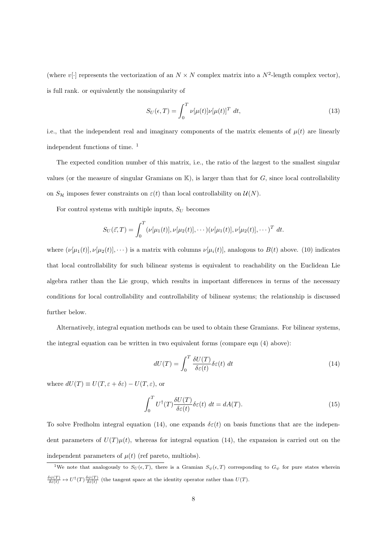(where  $v[\cdot]$  represents the vectorization of an  $N \times N$  complex matrix into a  $N^2$ -length complex vector), is full rank. or equivalently the nonsingularity of

$$
S_U(\epsilon, T) = \int_0^T \nu[\mu(t)] \nu[\mu(t)]^T dt,
$$
\n(13)

i.e., that the independent real and imaginary components of the matrix elements of  $\mu(t)$  are linearly independent functions of time. <sup>1</sup>

The expected condition number of this matrix, i.e., the ratio of the largest to the smallest singular values (or the measure of singular Gramians on  $K$ ), is larger than that for  $G$ , since local controllability on  $S_H$  imposes fewer constraints on  $\varepsilon(t)$  than local controllability on  $\mathcal{U}(N)$ .

For control systems with multiple inputs,  $S_U$  becomes

$$
S_U(\vec{\varepsilon},T) = \int_0^T (\nu[\mu_1(t)], \nu[\mu_2(t)], \cdots) (\nu[\mu_1(t)], \nu[\mu_2(t)], \cdots)^T dt.
$$

where  $(\nu[\mu_1(t)], \nu[\mu_2(t)], \cdots)$  is a matrix with columns  $\nu[\mu_i(t)]$ , analogous to  $B(t)$  above. (10) indicates that local controllability for such bilinear systems is equivalent to reachability on the Euclidean Lie algebra rather than the Lie group, which results in important differences in terms of the necessary conditions for local controllability and controllability of bilinear systems; the relationship is discussed further below.

Alternatively, integral equation methods can be used to obtain these Gramians. For bilinear systems, the integral equation can be written in two equivalent forms (compare eqn (4) above):

$$
dU(T) = \int_0^T \frac{\delta U(T)}{\delta \varepsilon(t)} \delta \varepsilon(t) dt
$$
\n(14)

where  $dU(T) \equiv U(T, \varepsilon + \delta \varepsilon) - U(T, \varepsilon)$ , or

$$
\int_0^T U^{\dagger}(T) \frac{\delta U(T)}{\delta \varepsilon(t)} \delta \varepsilon(t) dt = dA(T). \tag{15}
$$

To solve Fredholm integral equation (14), one expands  $\delta \varepsilon(t)$  on basis functions that are the independent parameters of  $U(T)\mu(t)$ , whereas for integral equation (14), the expansion is carried out on the independent parameters of  $\mu(t)$  (ref pareto, multiobs).

<sup>&</sup>lt;sup>1</sup>We note that analogously to  $S_U(\epsilon, T)$ , there is a Gramian  $S_\psi(\epsilon, T)$  corresponding to  $G_\psi$  for pure states wherein  $\frac{\delta \psi(T)}{\delta \varepsilon(t)} \mapsto U^{\dagger}(T) \frac{\delta \psi(T)}{\delta \varepsilon(t)}$  (the tangent space at the identity operator rather than  $U(T)$ .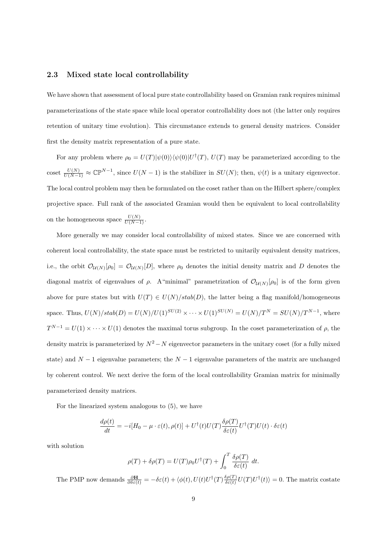#### **2.3 Mixed state local controllability**

We have shown that assessment of local pure state controllability based on Gramian rank requires minimal parameterizations of the state space while local operator controllability does not (the latter only requires retention of unitary time evolution). This circumstance extends to general density matrices. Consider first the density matrix representation of a pure state.

For any problem where  $\rho_0 = U(T)|\psi(0)\rangle\langle\psi(0)|U^{\dagger}(T), U(T)$  may be parameterized according to the coset  $\frac{U(N)}{U(N-1)} \approx \mathbb{CP}^{N-1}$ , since  $U(N-1)$  is the stabilizer in  $SU(N)$ ; then,  $\psi(t)$  is a unitary eigenvector. The local control problem may then be formulated on the coset rather than on the Hilbert sphere/complex projective space. Full rank of the associated Gramian would then be equivalent to local controllability on the homogeneous space  $\frac{U(N)}{U(N-1)}$ .

More generally we may consider local controllability of mixed states. Since we are concerned with coherent local controllability, the state space must be restricted to unitarily equivalent density matrices, i.e., the orbit  $\mathcal{O}_{\mathcal{U}(N)}[\rho_0] = \mathcal{O}_{\mathcal{U}(N)}[D]$ , where  $\rho_0$  denotes the initial density matrix and *D* denotes the diagonal matrix of eigenvalues of  $\rho$ . A "minimal" parametrization of  $\mathcal{O}_{\mathcal{U}(N)}[\rho_0]$  is of the form given above for pure states but with  $U(T) \in U(N)/stab(D)$ , the latter being a flag manifold/homogeneous space. Thus,  $U(N)/stab(D) = U(N)/U(1)^{SU(2)} \times \cdots \times U(1)^{SU(N)} = U(N)/T^N = SU(N)/T^{N-1}$ , where  $T^{N-1} = U(1) \times \cdots \times U(1)$  denotes the maximal torus subgroup. In the coset parameterization of  $\rho$ , the density matrix is parameterized by  $N^2 - N$  eigenvector parameters in the unitary coset (for a fully mixed state) and *N −* 1 eigenvalue parameters; the *N −* 1 eigenvalue parameters of the matrix are unchanged by coherent control. We next derive the form of the local controllability Gramian matrix for minimally parameterized density matrices.

For the linearized system analogous to (5), we have

$$
\frac{d\rho(t)}{dt} = -i[H_0 - \mu \cdot \varepsilon(t), \rho(t)] + U^{\dagger}(t)U(T)\frac{\delta\rho(T)}{\delta\varepsilon(t)}U^{\dagger}(T)U(t) \cdot \delta\varepsilon(t)
$$

with solution

$$
\rho(T) + \delta \rho(T) = U(T)\rho_0 U^{\dagger}(T) + \int_0^T \frac{\delta \rho(T)}{\delta \varepsilon(t)} dt.
$$

The PMP now demands  $\frac{\partial \mathbf{H}}{\partial \delta \varepsilon(t)} = -\delta \varepsilon(t) + \langle \phi(t), U(t)U^{\dagger}(T) \frac{\delta \rho(T)}{\delta \varepsilon(t)} \rangle$  $\frac{\partial \rho(T)}{\partial \varepsilon(t)} U(T) U^{\dagger}(t)$  = 0. The matrix costate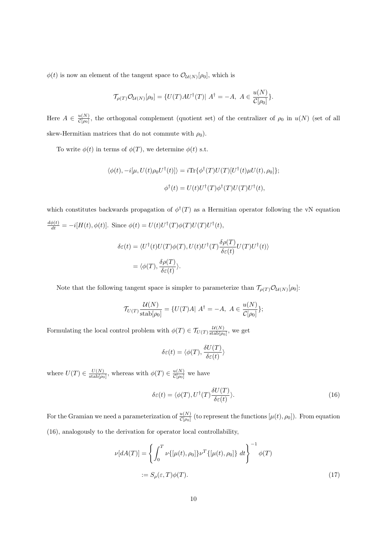$\phi(t)$  is now an element of the tangent space to  $\mathcal{O}_{\mathcal{U}(N)}[\rho_0]$ , which is

$$
\mathcal{T}_{\rho(T)}\mathcal{O}_{\mathcal{U}(N)}[\rho_0] = \{U(T)AU^\dagger(T)|\ A^\dagger = -A,\ A\in \frac{u(N)}{\mathcal{C}[\rho_0]}\}.
$$

Here  $A \in \frac{u(N)}{C[\rho_0]}$  $\frac{u(N)}{C[\rho_0]}$ , the orthogonal complement (quotient set) of the centralizer of  $\rho_0$  in  $u(N)$  (set of all skew-Hermitian matrices that do not commute with  $\rho_0$ ).

To write  $\phi(t)$  in terms of  $\phi(T)$ , we determine  $\phi(t)$  s.t.

$$
\langle \phi(t), -i[\mu, U(t)\rho_0 U^{\dagger}(t)] \rangle = i \text{Tr} \{ \phi^{\dagger}(T) U(T) [U^{\dagger}(t)\mu U(t), \rho_0] \};
$$
  

$$
\phi^{\dagger}(t) = U(t) U^{\dagger}(T) \phi^{\dagger}(T) U(T) U^{\dagger}(t),
$$

which constitutes backwards propagation of  $\phi^{\dagger}(T)$  as a Hermitian operator following the vN equation  $\frac{d\phi(t)}{dt} = -i[H(t), \phi(t)].$  Since  $\phi(t) = U(t)U^{\dagger}(T)\phi(T)U(T)U^{\dagger}(t),$ 

$$
\delta \varepsilon(t) = \langle U^{\dagger}(t)U(T)\phi(T), U(t)U^{\dagger}(T)\frac{\delta \rho(T)}{\delta \varepsilon(t)}U(T)U^{\dagger}(t)\rangle
$$
  
=  $\langle \phi(T), \frac{\delta \rho(T)}{\delta \varepsilon(t)}\rangle$ .

Note that the following tangent space is simpler to parameterize than  $\mathcal{T}_{\rho(T)}\mathcal{O}_{\mathcal{U}(N)}[\rho_0]$ :

$$
\mathcal{T}_{U(T)} \frac{\mathcal{U}(N)}{\text{stab}[\rho_0]} = \{ U(T)A | A^{\dagger} = -A, A \in \frac{u(N)}{\mathcal{C}[\rho_0]}\};
$$

Formulating the local control problem with  $\phi(T) \in \mathcal{T}_{U(T)} \frac{\mathcal{U}(N)}{\text{stab}[\rho_0]}$ , we get

$$
\delta \varepsilon(t) = \langle \phi(T), \frac{\delta U(T)}{\delta \varepsilon(t)} \rangle
$$

where  $U(T) \in \frac{U(N)}{\text{stab}(q)}$  $\frac{U(N)}{\text{stab}[\rho_0]},$  whereas with  $\phi(T) \in \frac{u(N)}{\mathcal{C}[\rho_0]}$  we have

$$
\delta \varepsilon(t) = \langle \phi(T), U^{\dagger}(T) \frac{\delta U(T)}{\delta \varepsilon(t)} \rangle.
$$
 (16)

For the Gramian we need a parameterization of  $\frac{u(N)}{C[\rho_0]}$  (to represent the functions  $[\mu(t), \rho_0]$ ). From equation (16), analogously to the derivation for operator local controllability,

$$
\nu[dA(T)] = \left\{ \int_0^T \nu\{[\mu(t), \rho_0]\} \nu^T\{[\mu(t), \rho_0]\} dt \right\}^{-1} \phi(T)
$$
  
 :=  $S_\rho(\varepsilon, T) \phi(T)$ . (17)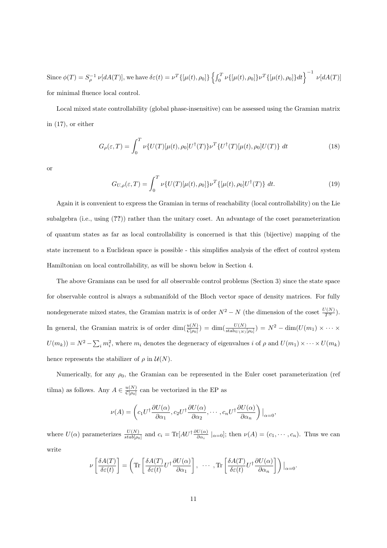Since  $\phi(T) = S_\rho^{-1} \nu[dA(T)]$ , we have  $\delta\varepsilon(t) = \nu^T\{[\mu(t), \rho_0]\}\left\{\int_0^T \nu\{[\mu(t), \rho_0]\}\nu^T\{[\mu(t), \rho_0]\}dt\right\}^{-1} \nu[dA(T)]$ for minimal fluence local control.

Local mixed state controllability (global phase-insensitive) can be assessed using the Gramian matrix in (17), or either

$$
G_{\rho}(\varepsilon,T) = \int_0^T \nu \{ U(T) [\mu(t), \rho_0] U^{\dagger}(T) \} \nu^T \{ U^{\dagger}(T) [\mu(t), \rho_0] U(T) \} dt \qquad (18)
$$

or

$$
G_{U,\rho}(\varepsilon,T) = \int_0^T \nu \{ U(T) [\mu(t), \rho_0] \} \nu^T \{ [\mu(t), \rho_0] U^{\dagger}(T) \} dt.
$$
 (19)

Again it is convenient to express the Gramian in terms of reachability (local controllability) on the Lie subalgebra (i.e., using (**??**)) rather than the unitary coset. An advantage of the coset parameterization of quantum states as far as local controllability is concerned is that this (bijective) mapping of the state increment to a Euclidean space is possible - this simplifies analysis of the effect of control system Hamiltonian on local controllability, as will be shown below in Section 4.

The above Gramians can be used for *all* observable control problems (Section 3) since the state space for observable control is always a submanifold of the Bloch vector space of density matrices. For fully nondegenerate mixed states, the Gramian matrix is of order  $N^2 - N$  (the dimension of the coset  $\frac{U(N)}{T^N}$ ). In general, the Gramian matrix is of order  $\dim(\frac{u(N)}{\mathcal{C}[\rho_0]}) = \dim(\frac{U(N)}{\operatorname{stab}_{U(N)}[\rho_0]}) = N^2 - \dim(U(m_1) \times \cdots \times$  $U(m_k) = N^2 - \sum_i m_i^2$ , where  $m_i$  denotes the degeneracy of eigenvalues i of  $\rho$  and  $U(m_1) \times \cdots \times U(m_k)$ hence represents the stabilizer of  $\rho$  in  $\mathcal{U}(N)$ .

Numerically, for any  $\rho_0$ , the Gramian can be represented in the Euler coset parameterization (ref tilma) as follows. Any  $A \in \frac{u(N)}{C[\omega]}$  $\frac{u(N)}{C[\rho_0]}$  can be vectorized in the EP as

$$
\nu(A) = \left(c_1 U^{\dagger} \frac{\partial U(\alpha)}{\partial \alpha_1}, c_2 U^{\dagger} \frac{\partial U(\alpha)}{\partial \alpha_2}, \cdots, c_n U^{\dagger} \frac{\partial U(\alpha)}{\partial \alpha_n}\right)|_{\alpha=0},
$$

where  $U(\alpha)$  parameterizes  $\frac{U(N)}{stab[\rho_0]}$  and  $c_i = \text{Tr}[AU^{\dagger} \frac{\partial U(\alpha)}{\partial \alpha_i} |_{\alpha=0}]$ ; then  $\nu(A) = (c_1, \dots, c_n)$ . Thus we can write

$$
\nu\left[\frac{\delta A(T)}{\delta \varepsilon(t)}\right] = \left(\text{Tr}\left[\frac{\delta A(T)}{\delta \varepsilon(t)}U^{\dagger}\frac{\partial U(\alpha)}{\partial \alpha_{1}}\right], \cdots, \text{Tr}\left[\frac{\delta A(T)}{\delta \varepsilon(t)}U^{\dagger}\frac{\partial U(\alpha)}{\partial \alpha_{n}}\right]\right)|_{\alpha=0}.
$$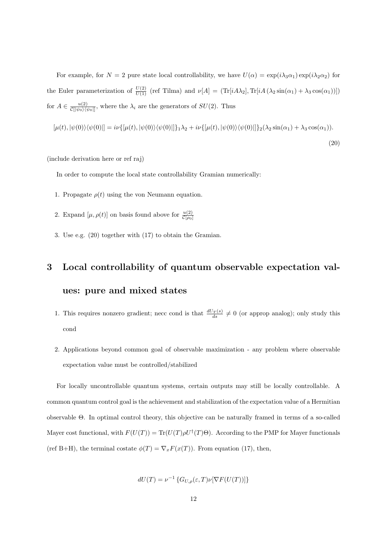For example, for  $N = 2$  pure state local controllability, we have  $U(\alpha) = \exp(i\lambda_3 \alpha_1) \exp(i\lambda_2 \alpha_2)$  for the Euler parameterization of  $\frac{U(2)}{U(1)}$  (ref Tilma) and  $\nu[A] = (\text{Tr}[iA\lambda_2], \text{Tr}[iA(\lambda_2\sin(\alpha_1) + \lambda_3\cos(\alpha_1))])$ for  $A \in \frac{u(2)}{C\left(\frac{1}{2}\right)\left(\frac{1}{2}\right)}$  $\frac{u(2)}{C[|\psi_0\rangle\langle\psi_0|]},$  where the  $\lambda_i$  are the generators of  $SU(2)$ . Thus

$$
[\mu(t), |\psi(0)\rangle\langle\psi(0)|] = i\nu\{[\mu(t), |\psi(0)\rangle\langle\psi(0)|]\}_1 \lambda_2 + i\nu\{[\mu(t), |\psi(0)\rangle\langle\psi(0)|]\}_2 (\lambda_2 \sin(\alpha_1) + \lambda_3 \cos(\alpha_1)).
$$
\n(20)

(include derivation here or ref raj)

In order to compute the local state controllability Gramian numerically:

- 1. Propagate  $\rho(t)$  using the von Neumann equation.
- 2. Expand  $[\mu, \rho(t)]$  on basis found above for  $\frac{u(2)}{C[\rho_0]}$
- 3. Use e.g. (20) together with (17) to obtain the Gramian.

## **3 Local controllability of quantum observable expectation values: pure and mixed states**

- 1. This requires nonzero gradient; necc cond is that  $\frac{dU_T(s)}{ds} \neq 0$  (or approp analog); only study this cond
- 2. Applications beyond common goal of observable maximization any problem where observable expectation value must be controlled/stabilized

For locally uncontrollable quantum systems, certain outputs may still be locally controllable. A common quantum control goal is the achievement and stabilization of the expectation value of a Hermitian observable Θ. In optimal control theory, this objective can be naturally framed in terms of a so-called Mayer cost functional, with  $F(U(T)) = \text{Tr}(U(T)\rho U^{\dagger}(T)\Theta)$ . According to the PMP for Mayer functionals (ref B+H), the terminal costate  $\phi(T) = \nabla_x F(x(T))$ . From equation (17), then,

$$
dU(T) = \nu^{-1} \left\{ G_{U,\rho}(\varepsilon,T) \nu \left[ \nabla F(U(T)) \right] \right\}
$$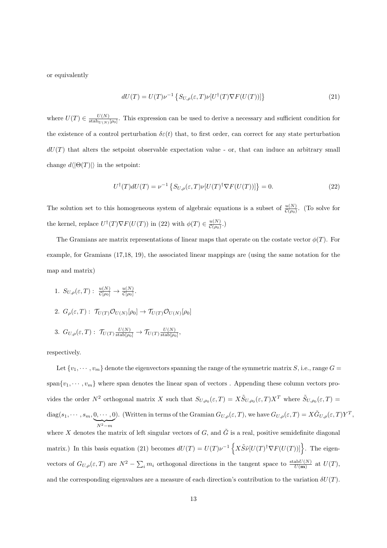or equivalently

$$
dU(T) = U(T)\nu^{-1} \left\{ S_{U,\rho}(\varepsilon, T)\nu[U^{\dagger}(T)\nabla F(U(T))] \right\}
$$
\n(21)

where  $U(T) \in \frac{U(N)}{\text{stab}_{U(N)}}$  $\frac{U(N)}{\text{stab}_{U(N)}[\rho_0]}$ . This expression can be used to derive a necessary and sufficient condition for the existence of a control perturbation  $\delta \varepsilon(t)$  that, to first order, can correct for any state perturbation  $dU(T)$  that alters the setpoint observable expectation value - or, that can induce an arbitrary small change  $d\langle |\Theta(T)|\rangle$  in the setpoint:

$$
U^{\dagger}(T)dU(T) = \nu^{-1}\left\{S_{U,\rho}(\varepsilon,T)\nu[U(T)^{\dagger}\nabla F(U(T))] \right\} = 0.
$$
\n(22)

The solution set to this homogeneous system of algebraic equations is a subset of  $\frac{u(N)}{\mathcal{C}(\rho_0)}$ . (To solve for the kernel, replace  $U^{\dagger}(T)\nabla F(U(T))$  in (22) with  $\phi(T) \in \frac{u(N)}{C(\rho_0)}$  $\frac{u(N)}{C(\rho_0)}$ .)

The Gramians are matrix representations of linear maps that operate on the costate vector  $\phi(T)$ . For example, for Gramians (17,18, 19), the associated linear mappings are (using the same notation for the map and matrix)

- 1.  $S_{U,\rho}(\varepsilon,T): \frac{u(N)}{\mathcal{C}[\rho_0]} \to \frac{u(N)}{\mathcal{C}[\rho_0]}.$
- 2.  $G_{\rho}(\varepsilon,T): \mathcal{T}_{U(T)}\mathcal{O}_{U(N)}[\rho_0] \to \mathcal{T}_{U(T)}\mathcal{O}_{U(N)}[\rho_0]$

3. 
$$
G_{U,\rho}(\varepsilon,T): \mathcal{T}_{U(T)} \frac{U(N)}{\text{stab}(\rho_0)} \to \mathcal{T}_{U(T)} \frac{U(N)}{\text{stab}(\rho_0)},
$$

respectively.

Let  $\{v_1, \dots, v_m\}$  denote the eigenvectors spanning the range of the symmetric matrix *S*, i.e., range  $G =$ span $\{v_1, \dots, v_m\}$  where span denotes the linear span of vectors. Appending these column vectors provides the order  $N^2$  orthogonal matrix *X* such that  $S_{U,\rho_0}(\varepsilon,T) = X \tilde{S}_{U,\rho_0}(\varepsilon,T) X^T$  where  $\tilde{S}_{U,\rho_0}(\varepsilon,T) =$  $diag(s_1, \dots, s_m, 0, \dots, 0)$ | {z } *N*2*−m* ). (Written in terms of the Gramian  $G_{U,\rho}(\varepsilon,T)$ , we have  $G_{U,\rho}(\varepsilon,T) = X \tilde{G}_{U,\rho}(\varepsilon,T) Y^T$ , where *X* denotes the matrix of left singular vectors of *G*, and  $\tilde{G}$  is a real, positive semidefinite diagonal matrix.) In this basis equation (21) becomes  $dU(T) = U(T)\nu^{-1}\left\{X\tilde{S}\tilde{\nu}[U(T)^{\dagger}\nabla F(U(T))]\right\}$ . The eigenvectors of  $G_{U,\rho}(\varepsilon,T)$  are  $N^2 - \sum_i m_i$  orthogonal directions in the tangent space to  $\frac{\text{stab}(N)}{U(\mathbf{m})}$  at  $U(T)$ , and the corresponding eigenvalues are a measure of each direction's contribution to the variation  $\delta U(T)$ .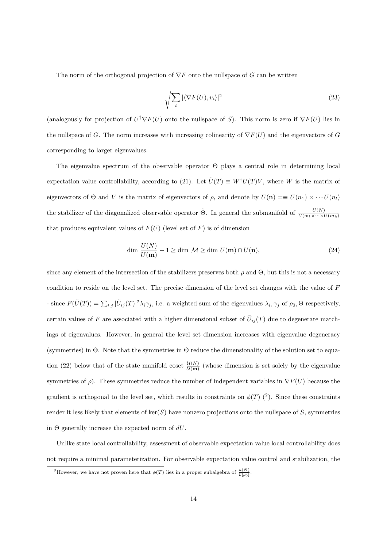The norm of the orthogonal projection of *∇F* onto the nullspace of *G* can be written

$$
\sqrt{\sum_{i} |\langle \nabla F(U), v_i \rangle|^2} \tag{23}
$$

(analogously for projection of  $U^{\dagger}\nabla F(U)$  onto the nullspace of *S*). This norm is zero if  $\nabla F(U)$  lies in the nullspace of *G*. The norm increases with increasing colinearity of *∇F*(*U*) and the eigenvectors of *G* corresponding to larger eigenvalues.

The eigenvalue spectrum of the observable operator Θ plays a central role in determining local expectation value controllability, according to (21). Let  $\tilde{U}(T) \equiv W^{\dagger}U(T)V$ , where *W* is the matrix of eigenvectors of  $\Theta$  and *V* is the matrix of eigenvectors of  $\rho$ , and denote by  $U(\mathbf{n}) = \equiv U(n_1) \times \cdots U(n_l)$ the stabilizer of the diagonalized observable operator  $\tilde{\Theta}$ . In general the submanifold of  $\frac{U(N)}{U(m_1 \times \cdots \times U(m_k))}$ that produces equivalent values of  $F(U)$  (level set of  $F$ ) is of dimension

$$
\dim \frac{U(N)}{U(\mathbf{m})} - 1 \ge \dim \mathcal{M} \ge \dim U(\mathbf{m}) \cap U(\mathbf{n}),\tag{24}
$$

since any element of the intersection of the stabilizers preserves both  $\rho$  and  $\Theta$ , but this is not a necessary condition to reside on the level set. The precise dimension of the level set changes with the value of *F* - since  $F(\tilde{U}(T)) = \sum_{i,j} |\tilde{U}_{ij}(T)|^2 \lambda_i \gamma_j$ , i.e. a weighted sum of the eigenvalues  $\lambda_i, \gamma_j$  of  $\rho_0, \Theta$  respectively, certain values of *F* are associated with a higher dimensional subset of  $\tilde{U}_{ij}(T)$  due to degenerate matchings of eigenvalues. However, in general the level set dimension increases with eigenvalue degeneracy (symmetries) in Θ. Note that the symmetries in Θ reduce the dimensionality of the solution set to equation (22) below that of the state manifold coset  $\frac{\mathcal{U}(N)}{\mathcal{U}(m)}$  (whose dimension is set solely by the eigenvalue symmetries of  $\rho$ ). These symmetries reduce the number of independent variables in  $\nabla F(U)$  because the gradient is orthogonal to the level set, which results in constraints on  $\phi(T)$  (<sup>2</sup>). Since these constraints render it less likely that elements of ker(*S*) have nonzero projections onto the nullspace of *S*, symmetries in Θ generally increase the expected norm of *dU*.

Unlike state local controllability, assessment of observable expectation value local controllability does not require a minimal parameterization. For observable expectation value control and stabilization, the

<sup>&</sup>lt;sup>2</sup>However, we have not proven here that  $\phi(T)$  lies in a proper subalgebra of  $\frac{u(N)}{C[\rho_0]}$ .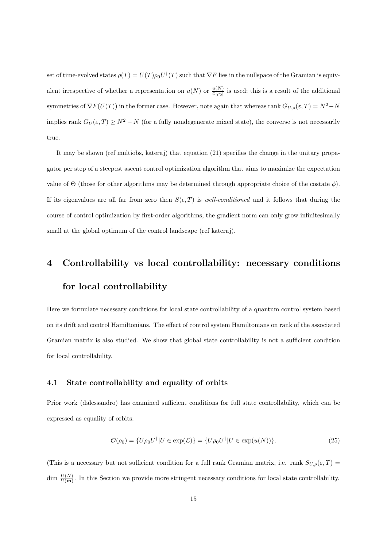set of time-evolved states  $\rho(T) = U(T) \rho_0 U^{\dagger}(T)$  such that  $\nabla F$  lies in the nullspace of the Gramian is equivalent irrespective of whether a representation on  $u(N)$  or  $\frac{u(N)}{C[\rho_0]}$  is used; this is a result of the additional symmetries of  $\nabla F(U(T))$  in the former case. However, note again that whereas rank  $G_{U,\rho}(\varepsilon,T) = N^2 - N$ implies rank  $G_U(\varepsilon, T) \geq N^2 - N$  (for a fully nondegenerate mixed state), the converse is not necessarily true.

It may be shown (ref multiobs, kateraj) that equation (21) specifies the change in the unitary propagator per step of a steepest ascent control optimization algorithm that aims to maximize the expectation value of Θ (those for other algorithms may be determined through appropriate choice of the costate *ϕ*). If its eigenvalues are all far from zero then  $S(\epsilon, T)$  is *well-conditioned* and it follows that during the course of control optimization by first-order algorithms, the gradient norm can only grow infinitesimally small at the global optimum of the control landscape (ref kateraj).

### **4 Controllability vs local controllability: necessary conditions for local controllability**

Here we formulate necessary conditions for local state controllability of a quantum control system based on its drift and control Hamiltonians. The effect of control system Hamiltonians on rank of the associated Gramian matrix is also studied. We show that global state controllability is not a sufficient condition for local controllability.

#### **4.1 State controllability and equality of orbits**

Prior work (dalessandro) has examined sufficient conditions for full state controllability, which can be expressed as equality of orbits:

$$
\mathcal{O}(\rho_0) = \{U\rho_0 U^\dagger | U \in \exp(\mathcal{L})\} = \{U\rho_0 U^\dagger | U \in \exp(u(N))\}.
$$
\n(25)

(This is a necessary but not sufficient condition for a full rank Gramian matrix, i.e. rank  $S_{U,\rho}(\varepsilon,T)$ )  $\dim \frac{U(N)}{U(m)}$ . In this Section we provide more stringent necessary conditions for local state controllability.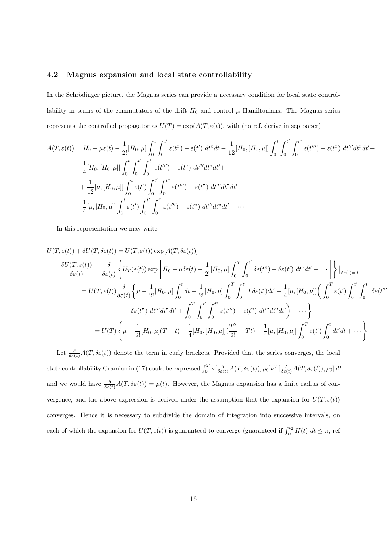#### **4.2 Magnus expansion and local state controllability**

In the Schrödinger picture, the Magnus series can provide a necessary condition for local state controllability in terms of the commutators of the drift  $H_0$  and control  $\mu$  Hamiltonians. The Magnus series represents the controlled propagator as  $U(T) = \exp(A(T, \varepsilon(t))$ , with (no ref, derive in sep paper)

$$
A(T,\varepsilon(t)) = H_0 - \mu\varepsilon(t) - \frac{1}{2!} [H_0, \mu] \int_0^t \int_0^{t'} \varepsilon(t'') - \varepsilon(t') dt'' dt - \frac{1}{12} [H_0, [H_0, \mu]] \int_0^t \int_0^{t'} \int_0^{t''} \varepsilon(t''') - \varepsilon(t'') dt'''' dt' dt' +
$$
  

$$
- \frac{1}{4} [H_0, [H_0, \mu]] \int_0^t \int_0^{t'} \int_0^{t'} \varepsilon(t''') - \varepsilon(t'') dt'''' dt'' dt' +
$$
  

$$
+ \frac{1}{12} [\mu, [H_0, \mu]] \int_0^t \varepsilon(t') \int_0^{t'} \int_0^{t''} \varepsilon(t''') - \varepsilon(t'') dt'''' dt'' dt' +
$$
  

$$
+ \frac{1}{4} [\mu, [H_0, \mu]] \int_0^t \varepsilon(t') \int_0^{t'} \int_0^{t'} \varepsilon(t''') - \varepsilon(t'') dt'''' dt'' dt' + \cdots
$$

In this representation we may write

$$
U(T, \varepsilon(t)) + \delta U(T, \delta \varepsilon(t)) = U(T, \varepsilon(t)) \exp[A(T, \delta \varepsilon(t))]
$$
  
\n
$$
\frac{\delta U(T, \varepsilon(t))}{\delta \varepsilon(t)} = \frac{\delta}{\delta \varepsilon(t)} \left\{ U_T(\varepsilon(t)) \exp\left[H_0 - \mu \delta \varepsilon(t) - \frac{1}{2!} [H_0, \mu] \int_0^T \int_0^{t'} \delta \varepsilon(t'') - \delta \varepsilon(t') dt'' dt' - \cdots \right] \right\} |_{\delta \varepsilon(\cdot) = 0}
$$
  
\n
$$
= U(T, \varepsilon(t)) \frac{\delta}{\delta \varepsilon(t)} \left\{ \mu - \frac{1}{2!} [H_0, \mu] \int_0^t dt - \frac{1}{2!} [H_0, \mu] \int_0^T \int_0^{t'} T \delta \varepsilon(t') dt' - \frac{1}{4} [\mu, [H_0, \mu]] \left( \int_0^T \varepsilon(t') \int_0^{t'} \int_0^{t''} \delta \varepsilon(t''') dt'' dt'' dt' + \int_0^T \int_0^{t'} \int_0^{t''} \varepsilon(t''') - \varepsilon(t'') dt'' dt'' dt' \right) - \cdots \right\}
$$
  
\n
$$
= U(T) \left\{ \mu - \frac{1}{2!} [H_0, \mu](T - t) - \frac{1}{4} [H_0, [H_0, \mu]] (\frac{T^2}{2!} - Tt) + \frac{1}{4} [\mu, [H_0, \mu]] \int_0^T \varepsilon(t') \int_0^t dt' dt + \cdots \right\}
$$

Let  $\frac{\delta}{\delta \varepsilon(t)}A(T,\delta \varepsilon(t))$  denote the term in curly brackets. Provided that the series converges, the local state controllability Gramian in (17) could be expressed  $\int_0^T \nu\left[\frac{\delta}{\delta\varepsilon(t)}A(T,\delta\varepsilon(t)),\rho_0\right] \nu^T\left[\frac{\delta}{\delta\varepsilon(t)}A(T,\delta\varepsilon(t)),\rho_0\right] dt$ and we would have  $\frac{\delta}{\delta \varepsilon(t)}A(T, \delta \varepsilon(t)) = \mu(t)$ . However, the Magnus expansion has a finite radius of convergence, and the above expression is derived under the assumption that the expansion for  $U(T, \varepsilon(t))$ converges. Hence it is necessary to subdivide the domain of integration into successive intervals, on each of which the expansion for  $U(T, \varepsilon(t))$  is guaranteed to converge (guaranteed if  $\int_{t_1}^{t_2} H(t) dt \leq \pi$ , ref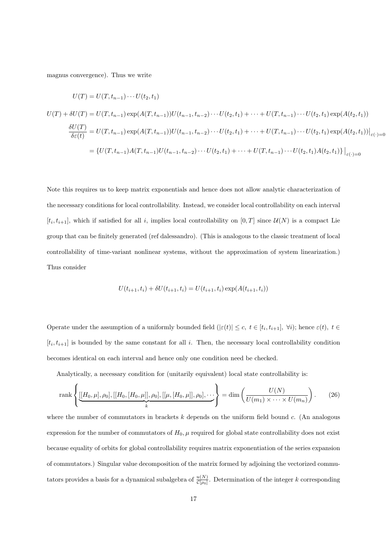magnus convergence). Thus we write

$$
U(T) = U(T, t_{n-1}) \cdots U(t_2, t_1)
$$
  
\n
$$
U(T) + \delta U(T) = U(T, t_{n-1}) \exp(A(T, t_{n-1}))U(t_{n-1}, t_{n-2}) \cdots U(t_2, t_1) + \cdots + U(T, t_{n-1}) \cdots U(t_2, t_1) \exp(A(t_2, t_1))
$$
  
\n
$$
\frac{\delta U(T)}{\delta \varepsilon(t)} = U(T, t_{n-1}) \exp(A(T, t_{n-1}))U(t_{n-1}, t_{n-2}) \cdots U(t_2, t_1) + \cdots + U(T, t_{n-1}) \cdots U(t_2, t_1) \exp(A(t_2, t_1))|_{\varepsilon(\cdot) = 0}
$$
  
\n
$$
= \{U(T, t_{n-1})A(T, t_{n-1})U(t_{n-1}, t_{n-2}) \cdots U(t_2, t_1) + \cdots + U(T, t_{n-1}) \cdots U(t_2, t_1)A(t_2, t_1)\}\Big|_{\varepsilon(\cdot) = 0}
$$

Note this requires us to keep matrix exponentials and hence does not allow analytic characterization of the necessary conditions for local controllability. Instead, we consider local controllability on each interval  $[t_i, t_{i+1}]$ , which if satisfied for all *i*, implies local controllability on  $[0, T]$  since  $\mathcal{U}(N)$  is a compact Lie group that can be finitely generated (ref dalessandro). (This is analogous to the classic treatment of local controllability of time-variant nonlinear systems, without the approximation of system linearization.) Thus consider

$$
U(t_{i+1}, t_i) + \delta U(t_{i+1}, t_i) = U(t_{i+1}, t_i) \exp(A(t_{i+1}, t_i))
$$

Operate under the assumption of a uniformly bounded field  $(|\varepsilon(t)| \leq c, t \in [t_i, t_{i+1}], \forall i)$ ; hence  $\varepsilon(t), t \in$  $[t_i, t_{i+1}]$  is bounded by the same constant for all *i*. Then, the necessary local controllability condition becomes identical on each interval and hence only one condition need be checked.

Analytically, a necessary condition for (unitarily equivalent) local state controllability is:

rank
$$
\left\{ \underbrace{[[H_0, \mu], \rho_0], [[H_0, [H_0, \mu]], \rho_0], [[\mu, [H_0, \mu]], \rho_0], \cdots}_{k} \right\} = \dim \left( \frac{U(N)}{U(m_1) \times \cdots \times U(m_n)} \right). \tag{26}
$$

where the number of commutators in brackets *k* depends on the uniform field bound *c*. (An analogous expression for the number of commutators of  $H_0$ ,  $\mu$  required for global state controllability does not exist because equality of orbits for global controllability requires matrix exponentiation of the series expansion of commutators.) Singular value decomposition of the matrix formed by adjoining the vectorized commutators provides a basis for a dynamical subalgebra of  $\frac{u(N)}{C[\rho_0]}$ . Determination of the integer *k* corresponding